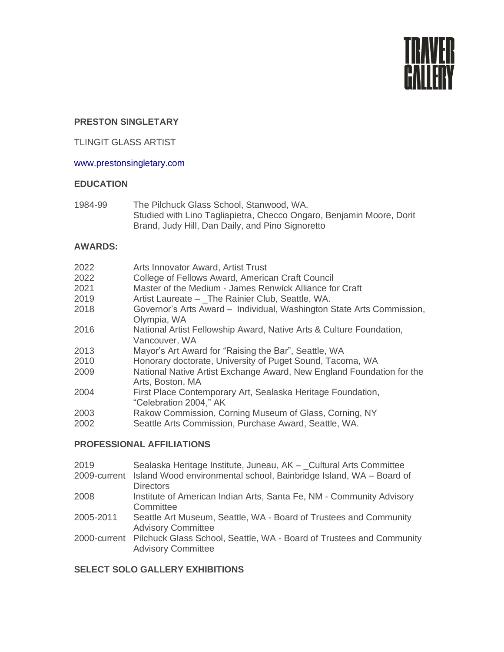

# **PRESTON SINGLETARY**

# TLINGIT GLASS ARTIST

### www.prestonsingletary.com

### **EDUCATION**

1984-99 The Pilchuck Glass School, Stanwood, WA. Studied with Lino Tagliapietra, Checco Ongaro, Benjamin Moore, Dorit Brand, Judy Hill, Dan Daily, and Pino Signoretto

#### **AWARDS:**

| Arts Innovator Award, Artist Trust                                                        |
|-------------------------------------------------------------------------------------------|
| College of Fellows Award, American Craft Council                                          |
| Master of the Medium - James Renwick Alliance for Craft                                   |
| Artist Laureate - The Rainier Club, Seattle, WA.                                          |
| Governor's Arts Award - Individual, Washington State Arts Commission,<br>Olympia, WA      |
| National Artist Fellowship Award, Native Arts & Culture Foundation,<br>Vancouver, WA      |
| Mayor's Art Award for "Raising the Bar", Seattle, WA                                      |
| Honorary doctorate, University of Puget Sound, Tacoma, WA                                 |
| National Native Artist Exchange Award, New England Foundation for the<br>Arts, Boston, MA |
| First Place Contemporary Art, Sealaska Heritage Foundation,<br>"Celebration 2004," AK     |
| Rakow Commission, Corning Museum of Glass, Corning, NY                                    |
| Seattle Arts Commission, Purchase Award, Seattle, WA.                                     |
|                                                                                           |

# **PROFESSIONAL AFFILIATIONS**

- 2019 Sealaska Heritage Institute, Juneau, AK \_Cultural Arts Committee
- 2009-current Island Wood environmental school, Bainbridge Island, WA Board of **Directors**
- 2008 Institute of American Indian Arts, Santa Fe, NM Community Advisory **Committee**
- 2005-2011 Seattle Art Museum, Seattle, WA Board of Trustees and Community Advisory Committee
- 2000-current Pilchuck Glass School, Seattle, WA Board of Trustees and Community Advisory Committee

### **SELECT SOLO GALLERY EXHIBITIONS**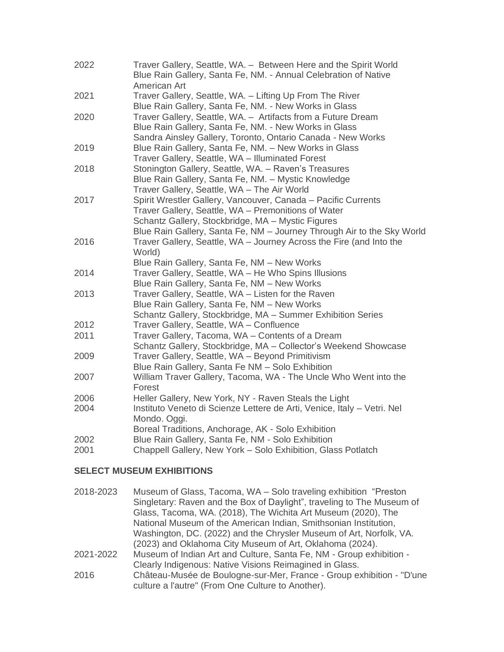| 2022         | Traver Gallery, Seattle, WA. - Between Here and the Spirit World<br>Blue Rain Gallery, Santa Fe, NM. - Annual Celebration of Native<br>American Art                                                                                                 |
|--------------|-----------------------------------------------------------------------------------------------------------------------------------------------------------------------------------------------------------------------------------------------------|
| 2021         | Traver Gallery, Seattle, WA. - Lifting Up From The River<br>Blue Rain Gallery, Santa Fe, NM. - New Works in Glass                                                                                                                                   |
| 2020         | Traver Gallery, Seattle, WA. - Artifacts from a Future Dream<br>Blue Rain Gallery, Santa Fe, NM. - New Works in Glass<br>Sandra Ainsley Gallery, Toronto, Ontario Canada - New Works                                                                |
| 2019         | Blue Rain Gallery, Santa Fe, NM. - New Works in Glass<br>Traver Gallery, Seattle, WA - Illuminated Forest                                                                                                                                           |
| 2018         | Stonington Gallery, Seattle, WA. - Raven's Treasures<br>Blue Rain Gallery, Santa Fe, NM. - Mystic Knowledge<br>Traver Gallery, Seattle, WA - The Air World                                                                                          |
| 2017         | Spirit Wrestler Gallery, Vancouver, Canada - Pacific Currents<br>Traver Gallery, Seattle, WA - Premonitions of Water<br>Schantz Gallery, Stockbridge, MA - Mystic Figures<br>Blue Rain Gallery, Santa Fe, NM - Journey Through Air to the Sky World |
| 2016         | Traver Gallery, Seattle, WA - Journey Across the Fire (and Into the<br>World)<br>Blue Rain Gallery, Santa Fe, NM - New Works                                                                                                                        |
| 2014         | Traver Gallery, Seattle, WA - He Who Spins Illusions<br>Blue Rain Gallery, Santa Fe, NM - New Works                                                                                                                                                 |
| 2013         | Traver Gallery, Seattle, WA - Listen for the Raven<br>Blue Rain Gallery, Santa Fe, NM - New Works<br>Schantz Gallery, Stockbridge, MA - Summer Exhibition Series                                                                                    |
| 2012         | Traver Gallery, Seattle, WA - Confluence                                                                                                                                                                                                            |
| 2011         | Traver Gallery, Tacoma, WA - Contents of a Dream<br>Schantz Gallery, Stockbridge, MA - Collector's Weekend Showcase                                                                                                                                 |
| 2009         | Traver Gallery, Seattle, WA - Beyond Primitivism<br>Blue Rain Gallery, Santa Fe NM - Solo Exhibition                                                                                                                                                |
| 2007         | William Traver Gallery, Tacoma, WA - The Uncle Who Went into the<br>Forest                                                                                                                                                                          |
| 2006<br>2004 | Heller Gallery, New York, NY - Raven Steals the Light<br>Instituto Veneto di Scienze Lettere de Arti, Venice, Italy - Vetri. Nel<br>Mondo. Oggi.<br>Boreal Traditions, Anchorage, AK - Solo Exhibition                                              |
| 2002<br>2001 | Blue Rain Gallery, Santa Fe, NM - Solo Exhibition<br>Chappell Gallery, New York - Solo Exhibition, Glass Potlatch                                                                                                                                   |

# **SELECT MUSEUM EXHIBITIONS**

| 2018-2023 | Museum of Glass, Tacoma, WA - Solo traveling exhibition "Preston"      |
|-----------|------------------------------------------------------------------------|
|           | Singletary: Raven and the Box of Daylight", traveling to The Museum of |
|           | Glass, Tacoma, WA. (2018), The Wichita Art Museum (2020), The          |
|           | National Museum of the American Indian, Smithsonian Institution,       |
|           | Washington, DC. (2022) and the Chrysler Museum of Art, Norfolk, VA.    |
|           | (2023) and Oklahoma City Museum of Art, Oklahoma (2024).               |
| 2021-2022 | Museum of Indian Art and Culture, Santa Fe, NM - Group exhibition -    |
|           | Clearly Indigenous: Native Visions Reimagined in Glass.                |
| 2016      | Château-Musée de Boulogne-sur-Mer, France - Group exhibition - "D'une" |
|           | culture a l'autre" (From One Culture to Another).                      |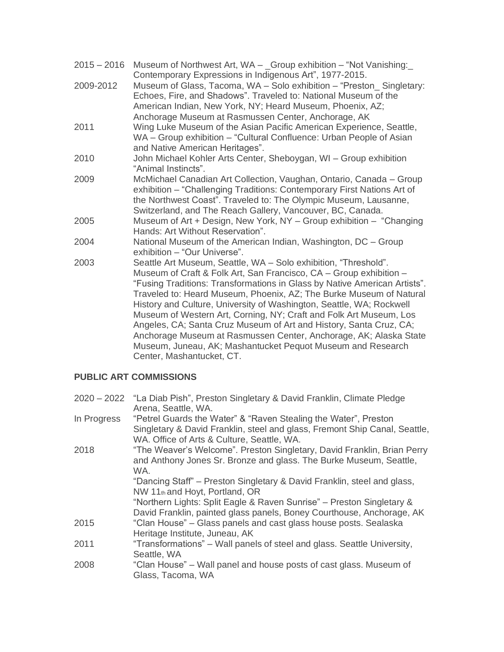| $2015 - 2016$ | Museum of Northwest Art, WA - _Group exhibition - "Not Vanishing:<br>Contemporary Expressions in Indigenous Art", 1977-2015.                                                                                                                                                                                                                                                                                                                                                                                                                                                                                                                                                   |
|---------------|--------------------------------------------------------------------------------------------------------------------------------------------------------------------------------------------------------------------------------------------------------------------------------------------------------------------------------------------------------------------------------------------------------------------------------------------------------------------------------------------------------------------------------------------------------------------------------------------------------------------------------------------------------------------------------|
| 2009-2012     | Museum of Glass, Tacoma, WA - Solo exhibition - "Preston Singletary:<br>Echoes, Fire, and Shadows". Traveled to: National Museum of the<br>American Indian, New York, NY; Heard Museum, Phoenix, AZ;                                                                                                                                                                                                                                                                                                                                                                                                                                                                           |
| 2011          | Anchorage Museum at Rasmussen Center, Anchorage, AK<br>Wing Luke Museum of the Asian Pacific American Experience, Seattle,<br>WA - Group exhibition - "Cultural Confluence: Urban People of Asian<br>and Native American Heritages".                                                                                                                                                                                                                                                                                                                                                                                                                                           |
| 2010          | John Michael Kohler Arts Center, Sheboygan, WI - Group exhibition<br>"Animal Instincts".                                                                                                                                                                                                                                                                                                                                                                                                                                                                                                                                                                                       |
| 2009          | McMichael Canadian Art Collection, Vaughan, Ontario, Canada - Group<br>exhibition - "Challenging Traditions: Contemporary First Nations Art of<br>the Northwest Coast". Traveled to: The Olympic Museum, Lausanne,<br>Switzerland, and The Reach Gallery, Vancouver, BC, Canada.                                                                                                                                                                                                                                                                                                                                                                                               |
| 2005          | Museum of Art + Design, New York, NY - Group exhibition - "Changing<br>Hands: Art Without Reservation".                                                                                                                                                                                                                                                                                                                                                                                                                                                                                                                                                                        |
| 2004          | National Museum of the American Indian, Washington, DC - Group<br>exhibition - "Our Universe".                                                                                                                                                                                                                                                                                                                                                                                                                                                                                                                                                                                 |
| 2003          | Seattle Art Museum, Seattle, WA - Solo exhibition, "Threshold".<br>Museum of Craft & Folk Art, San Francisco, CA - Group exhibition -<br>"Fusing Traditions: Transformations in Glass by Native American Artists".<br>Traveled to: Heard Museum, Phoenix, AZ; The Burke Museum of Natural<br>History and Culture, University of Washington, Seattle, WA; Rockwell<br>Museum of Western Art, Corning, NY; Craft and Folk Art Museum, Los<br>Angeles, CA; Santa Cruz Museum of Art and History, Santa Cruz, CA;<br>Anchorage Museum at Rasmussen Center, Anchorage, AK; Alaska State<br>Museum, Juneau, AK; Mashantucket Pequot Museum and Research<br>Center, Mashantucket, CT. |

# **PUBLIC ART COMMISSIONS**

|             | 2020 – 2022 "La Diab Pish", Preston Singletary & David Franklin, Climate Pledge |
|-------------|---------------------------------------------------------------------------------|
|             | Arena, Seattle, WA.                                                             |
| In Progress | "Petrel Guards the Water" & "Raven Stealing the Water", Preston                 |
|             | Singletary & David Franklin, steel and glass, Fremont Ship Canal, Seattle,      |
|             | WA. Office of Arts & Culture, Seattle, WA.                                      |
| 2018        | "The Weaver's Welcome". Preston Singletary, David Franklin, Brian Perry         |
|             | and Anthony Jones Sr. Bronze and glass. The Burke Museum, Seattle,              |
|             | WA.                                                                             |
|             | "Dancing Staff" – Preston Singletary & David Franklin, steel and glass,         |
|             | NW 11th and Hoyt, Portland, OR                                                  |
|             | "Northern Lights: Split Eagle & Raven Sunrise" - Preston Singletary &           |
|             | David Franklin, painted glass panels, Boney Courthouse, Anchorage, AK           |
| 2015        | "Clan House" – Glass panels and cast glass house posts. Sealaska                |
|             | Heritage Institute, Juneau, AK                                                  |
| 2011        | "Transformations" – Wall panels of steel and glass. Seattle University,         |
|             | Seattle, WA                                                                     |
| 2008        | "Clan House" – Wall panel and house posts of cast glass. Museum of              |
|             | Glass, Tacoma, WA                                                               |
|             |                                                                                 |